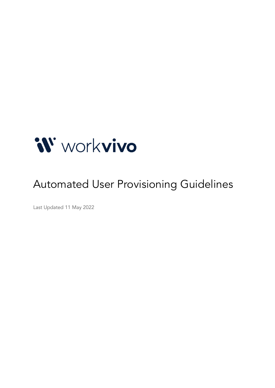

# Automated User Provisioning Guidelines

Last Updated 11 May 2022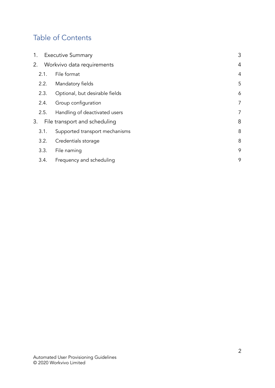# Table of Contents

| 1.                            | <b>Executive Summary</b>       | 3              |
|-------------------------------|--------------------------------|----------------|
| 2. Workvivo data requirements |                                |                |
| 2.1.                          | File format                    | $\overline{4}$ |
| 2.2.                          | Mandatory fields               | 5              |
| 2.3.                          | Optional, but desirable fields | 6              |
| 2.4.                          | Group configuration            | 7              |
| 2.5.                          | Handling of deactivated users  | $\overline{7}$ |
| 3.                            | File transport and scheduling  | 8              |
| 3.1.                          | Supported transport mechanisms | 8              |
| 3.2.                          | Credentials storage            | 8              |
| 3.3.                          | File naming                    | 9              |
| 3.4.                          | Frequency and scheduling       | 9              |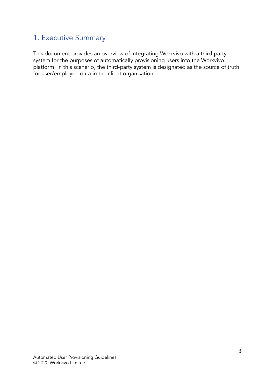## <span id="page-2-0"></span>1. Executive Summary

This document provides an overview of integrating Workvivo with a third-party system for the purposes of automatically provisioning users into the Workvivo platform. In this scenario, the third-party system is designated as the source of truth for user/employee data in the client organisation.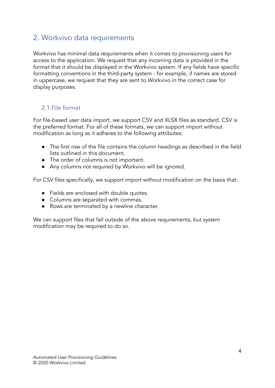### <span id="page-3-0"></span>2. Workvivo data requirements

Workvivo has minimal data requirements when it comes to provisioning users for access to the application. We request that any incoming data is provided in the format that it should be displayed in the Workvivo system. If any fields have specific formatting conventions in the third-party system - for example, if names are stored in uppercase, we request that they are sent to Workvivo in the correct case for display purposes.

#### <span id="page-3-1"></span>2.1.File format

For file-based user data import, we support CSV and XLSX files as standard. CSV is the preferred format. For all of these formats, we can support import without modification as long as it adheres to the following attributes:

- The first row of the file contains the column headings as described in the field lists outlined in this document.
- The order of columns is not important.
- Any columns not required by Workvivo will be ignored.

For CSV files specifically, we support import without modification on the basis that:

- Fields are enclosed with double quotes.
- Columns are separated with commas.
- Rows are terminated by a newline character.

We can support files that fall outside of the above requirements, but system modification may be required to do so.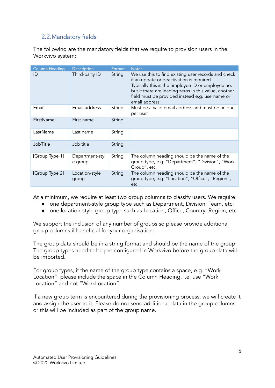#### <span id="page-4-0"></span>2.2.Mandatory fields

The following are the mandatory fields that we require to provision users in the Workvivo system:

| <b>Column Heading</b> | Description                | Format | <b>Notes</b>                                                                                                                                                                                                                                                                        |
|-----------------------|----------------------------|--------|-------------------------------------------------------------------------------------------------------------------------------------------------------------------------------------------------------------------------------------------------------------------------------------|
| ID                    | Third-party ID             | String | We use this to find existing user records and check<br>if an update or deactivation is required.<br>Typically this is the employee ID or employee no.<br>but if there are leading zeros in this value, another<br>field must be provided instead e.g. username or<br>email address. |
| Email                 | Email address              | String | Must be a valid email address and must be unique<br>per user.                                                                                                                                                                                                                       |
| FirstName             | First name                 | String |                                                                                                                                                                                                                                                                                     |
| LastName              | Last name                  | String |                                                                                                                                                                                                                                                                                     |
| JobTitle              | Job title                  | String |                                                                                                                                                                                                                                                                                     |
| [Group Type 1]        | Department-styl<br>e group | String | The column heading should be the name of the<br>group type, e.g. "Department", "Division", "Work<br>Group", etc.                                                                                                                                                                    |
| [Group Type 2]        | Location-style<br>group    | String | The column heading should be the name of the<br>group type, e.g. "Location", "Office", "Region",<br>etc.                                                                                                                                                                            |

At a minimum, we require at least two group columns to classify users. We require:

- one department-style group type such as Department, Division, Team, etc;
- one location-style group type such as Location, Office, Country, Region, etc.

We support the inclusion of any number of groups so please provide additional group columns if beneficial for your organisation.

The group data should be in a string format and should be the name of the group. The group types need to be pre-configured in Workvivo before the group data will be imported.

For group types, if the name of the group type contains a space, e.g. "Work Location", please include the space in the Column Heading, i.e. use "Work Location" and not "WorkLocation".

If a new group term is encountered during the provisioning process, we will create it and assign the user to it. Please do not send additional data in the group columns or this will be included as part of the group name.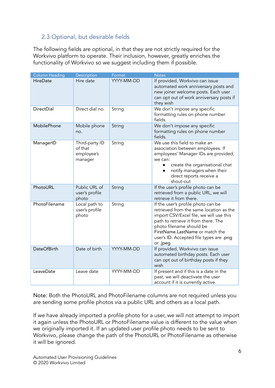#### <span id="page-5-0"></span>2.3.Optional, but desirable fields

The following fields are optional, in that they are not strictly required for the Workvivo platform to operate. Their inclusion, however, greatly enriches the functionality of Workvivo so we suggest including them if possible.

| <b>Column Heading</b> | Description                                        | Format     | <b>Notes</b>                                                                                                                                                                                                                                                                          |
|-----------------------|----------------------------------------------------|------------|---------------------------------------------------------------------------------------------------------------------------------------------------------------------------------------------------------------------------------------------------------------------------------------|
| HireDate              | Hire date                                          | YYYY-MM-DD | If provided, Workvivo can issue<br>automated work anniversary posts and<br>new joiner welcome posts. Each user<br>can opt out of work anniversary posts if<br>they wish                                                                                                               |
| DirectDial            | Direct dial no.                                    | String     | We don't impose any specific<br>formatting rules on phone number<br>fields.                                                                                                                                                                                                           |
| MobilePhone           | Mobile phone<br>no.                                | String     | We don't impose any specific<br>formatting rules on phone number<br>fields.                                                                                                                                                                                                           |
| ManagerID             | Third-party ID<br>of that<br>employee's<br>manager | String     | We use this field to make an<br>association between employees. If<br>employees' Manager IDs are provided,<br>we can:<br>create the organisational chat<br>$\bullet$<br>notify managers when their<br>direct reports receive a<br>shout-out                                            |
| PhotoURL              | Public URL of<br>user's profile<br>photo           | String     | If the user's profile photo can be<br>retrieved from a public URL, we will<br>retrieve it from there.                                                                                                                                                                                 |
| PhotoFilename         | Local path to<br>user's profile<br>photo           | String     | If the user's profile photo can be<br>retrieved from the same location as the<br>import CSV/Excel file, we will use this<br>path to retrieve it from there. The<br>photo filename should be<br>FirstName.LastName or match the<br>user's ID. Accepted file types are .png<br>or .jpeg |
| <b>DateOfBirth</b>    | Date of birth                                      | YYYY-MM-DD | If provided, Workvivo can issue<br>automated birthday posts. Each user<br>can opt out of birthday posts if they<br>wish                                                                                                                                                               |
| LeaveDate             | Leave date                                         | YYYY-MM-DD | If present and if this is a date in the<br>past, we will deactivate the user<br>account if it is currently active.                                                                                                                                                                    |

Note: Both the PhotoURL and PhotoFilename columns are not required unless you are sending some profile photos via a public URL and others as a local path.

If we have already imported a profile photo for a user, we will not attempt to import it again unless the PhotoURL or PhotoFilename value is different to the value when we originally imported it. If an updated user profile photo needs to be sent to Workvivo, please change the path of the PhotoURL or PhotoFilename as otherwise it will be ignored.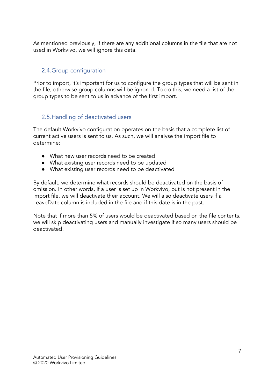<span id="page-6-0"></span>As mentioned previously, if there are any additional columns in the file that are not used in Workvivo, we will ignore this data.

#### 2.4.Group configuration

Prior to import, it's important for us to configure the group types that will be sent in the file, otherwise group columns will be ignored. To do this, we need a list of the group types to be sent to us in advance of the first import.

#### <span id="page-6-1"></span>2.5.Handling of deactivated users

The default Workvivo configuration operates on the basis that a complete list of current active users is sent to us. As such, we will analyse the import file to determine:

- What new user records need to be created
- What existing user records need to be updated
- What existing user records need to be deactivated

By default, we determine what records should be deactivated on the basis of omission. In other words, if a user is set up in Workvivo, but is not present in the import file, we will deactivate their account. We will also deactivate users if a LeaveDate column is included in the file and if this date is in the past.

Note that if more than 5% of users would be deactivated based on the file contents, we will skip deactivating users and manually investigate if so many users should be deactivated.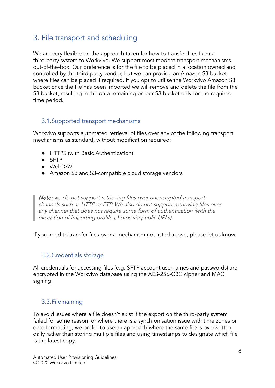## <span id="page-7-0"></span>3. File transport and scheduling

We are very flexible on the approach taken for how to transfer files from a third-party system to Workvivo. We support most modern transport mechanisms out-of-the-box. Our preference is for the file to be placed in a location owned and controlled by the third-party vendor, but we can provide an Amazon S3 bucket where files can be placed if required. If you opt to utilise the Workvivo Amazon S3 bucket once the file has been imported we will remove and delete the file from the S3 bucket, resulting in the data remaining on our S3 bucket only for the required time period.

#### <span id="page-7-1"></span>3.1.Supported transport mechanisms

Workvivo supports automated retrieval of files over any of the following transport mechanisms as standard, without modification required:

- HTTPS (with Basic Authentication)
- SFTP
- WebDAV
- Amazon S3 and S3-compatible cloud storage vendors

Note: we do not support retrieving files over unencrypted transport channels such as HTTP or FTP. We also do not support retrieving files over any channel that does not require some form of authentication (with the exception of importing profile photos via public URLs).

<span id="page-7-2"></span>If you need to transfer files over a mechanism not listed above, please let us know.

#### 3.2.Credentials storage

All credentials for accessing files (e.g. SFTP account usernames and passwords) are encrypted in the Workvivo database using the AES-256-CBC cipher and MAC signing.

#### <span id="page-7-3"></span>3.3.File naming

To avoid issues where a file doesn't exist if the export on the third-party system failed for some reason, or where there is a synchronisation issue with time zones or date formatting, we prefer to use an approach where the same file is overwritten daily rather than storing multiple files and using timestamps to designate which file is the latest copy.